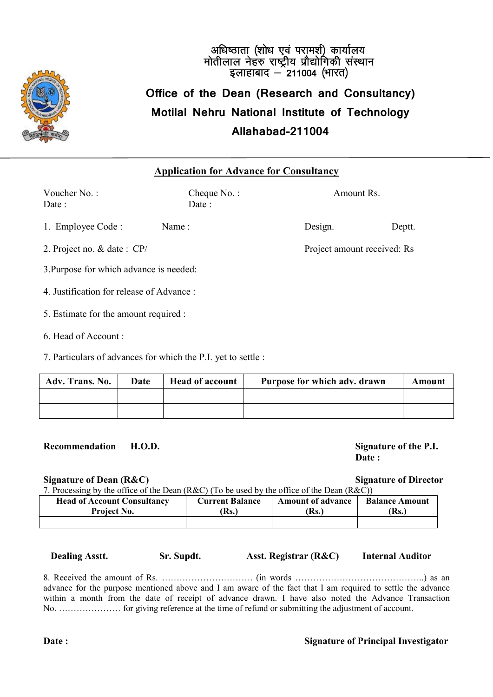

## अधिष्ठाता (शोध एवं परामर्श) कार्यालय<br>मोतीलाल नेहरु राष्ट्रीय प्रौद्योगिकी संस्थान<br>इलाहाबाद — 211004 (भारत) **Office of the Dean (Research and Consultancy) Motilal Nehru National Institute of Technology Allahabad-211004**

#### **Application for Advance for Consultancy**

Voucher No. : Cheque No. : Amount Rs. Date : Date : 1. Employee Code : Name : Design. Design. Deptt. 2. Project no. & date : CP/ Project amount received: Rs 3.Purpose for which advance is needed:

4. Justification for release of Advance :

5. Estimate for the amount required :

6. Head of Account :

7. Particulars of advances for which the P.I. yet to settle :

| Adv. Trans. No. | Date | <b>Head of account</b> | Purpose for which adv. drawn | Amount |
|-----------------|------|------------------------|------------------------------|--------|
|                 |      |                        |                              |        |
|                 |      |                        |                              |        |

**Recommendation H.O.D. Signature of the P.I.**

**Date :**

**Signature of Dean (R&C) Signature of Director**

7. Processing by the office of the Dean (R&C) (To be used by the office of the Dean (R&C)) **Head of Account Consultancy Project No. Current Balance (Rs.) Amount of advance (Rs.) Balance Amount (Rs.)**

 **Dealing Asstt. Sr. Supdt. Asst. Registrar (R&C) Internal Auditor**

8. Received the amount of Rs. …………………………. (in words ……………………………………..) as an advance for the purpose mentioned above and I am aware of the fact that I am required to settle the advance within a month from the date of receipt of advance drawn. I have also noted the Advance Transaction No. ………………… for giving reference at the time of refund or submitting the adjustment of account.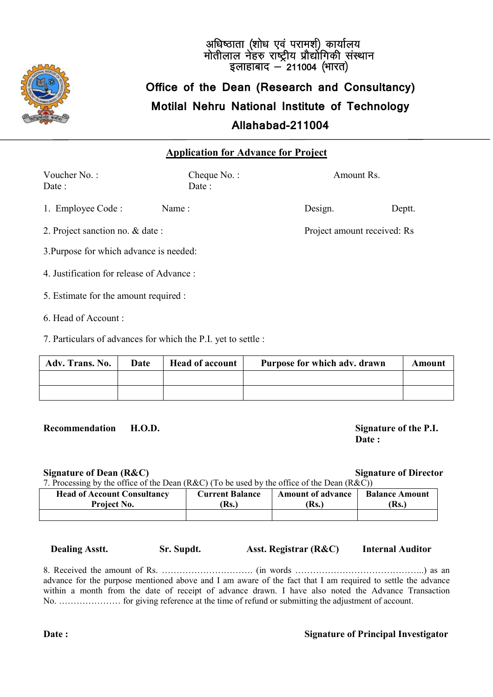

### अधिष्ठाता (शोध एवं परामर्श) कार्यालय<br>मोतीलाल नेहरु राष्ट्रीय प्रौद्योगिकी संस्थान<br>इलाहाबाद — 211004 (भारत) **Office of the Dean (Research and Consultancy) Motilal Nehru National Institute of Technology Allahabad-211004**

#### **Application for Advance for Project**

Voucher No. : Cheque No. : Amount Rs. Date : Date : 1. Employee Code : Name : Design. Design. Deptt. 2. Project sanction no. & date : Project amount received: Rs 3.Purpose for which advance is needed: 4. Justification for release of Advance :

- 5. Estimate for the amount required :
- 6. Head of Account :
- 7. Particulars of advances for which the P.I. yet to settle :

| Adv. Trans. No. | Date | <b>Head of account</b> | Purpose for which adv. drawn | Amount |
|-----------------|------|------------------------|------------------------------|--------|
|                 |      |                        |                              |        |
|                 |      |                        |                              |        |

**Recommendation H.O.D. Signature of the P.I.**

**Date :**

**Signature of Dean (R&C) Signature of Director**

7. Processing by the office of the Dean (R&C) (To be used by the office of the Dean (R&C))

| <b>Head of Account Consultancy</b> | <b>Current Balance</b> | <b>Amount of advance</b> | <b>Balance Amount</b> |
|------------------------------------|------------------------|--------------------------|-----------------------|
| Project No.                        | [Rs.]                  | Rs.                      | (Rs.)                 |
|                                    |                        |                          |                       |

 **Dealing Asstt. Sr. Supdt. Asst. Registrar (R&C) Internal Auditor**

8. Received the amount of Rs. …………………………. (in words ……………………………………..) as an advance for the purpose mentioned above and I am aware of the fact that I am required to settle the advance within a month from the date of receipt of advance drawn. I have also noted the Advance Transaction No. ………………… for giving reference at the time of refund or submitting the adjustment of account.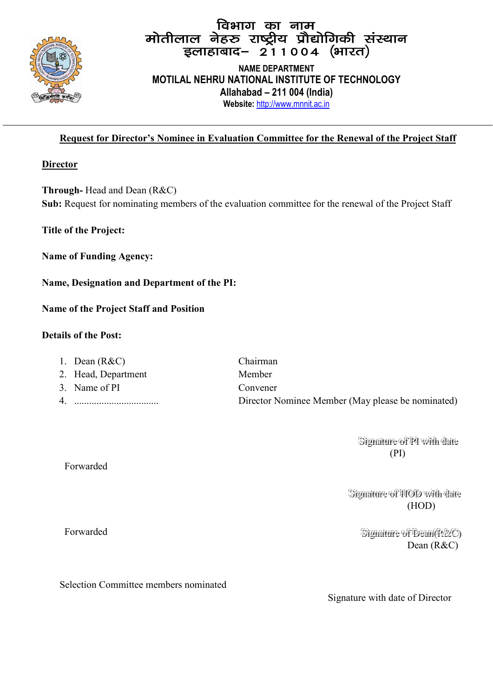

## fa का नाम<br>मोतीलाल नेहरु राष्ट्रीय प्रौद्योगिकी संस्थान<br>|इलाहाबाद– 211004 (भारत)

**NAME DEPARTMENT MOTILAL NEHRU NATIONAL INSTITUTE OF TECHNOLOGY Allahabad – 211 004 (India) Website:** http://www.mnnit.ac.in

#### **Request for Director's Nominee in Evaluation Committee for the Renewal of the Project Staff**

#### **Director**

**Through-** Head and Dean (R&C) **Sub:** Request for nominating members of the evaluation committee for the renewal of the Project Staff

**Title of the Project:** 

**Name of Funding Agency:**

**Name, Designation and Department of the PI:**

**Name of the Project Staff and Position**

#### **Details of the Post:**

| 1. Dean $(R&C)$     | Chairman                                          |
|---------------------|---------------------------------------------------|
| 2. Head, Department | Member                                            |
| 3. Name of PI       | Convener                                          |
|                     | Director Nominee Member (May please be nominated) |

Signature of PI with date (PI)

Signature of HOD with date (HOD)

Forwarded Signal Signature of Dean (R&C) Dean (R&C)

Selection Committee members nominated

Signature with date of Director

Forwarded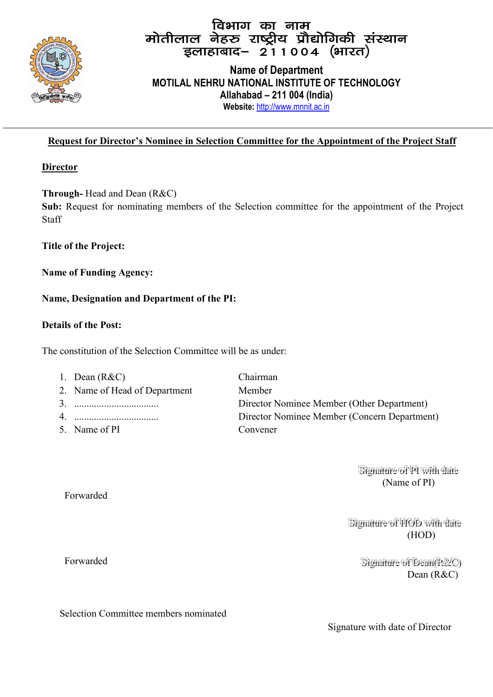

# faभाग का नाम<br>मोतीलाल नेहरु राष्ट्रीय प्रौद्योगिकी संस्थान<br>|इलाहाबाद– 211004 (भारत)

#### **Name of Department MOTILAL NEHRU NATIONAL INSTITUTE OF TECHNOLOGY Allahabad – 211 004 (India) Website:** http://www.mnnit.ac.in

#### **Request for Director's Nominee in Selection Committee for the Appointment of the Project Staff**

#### **Director**

**Through-** Head and Dean (R&C)

**Sub:** Request for nominating members of the Selection committee for the appointment of the Project Staff

#### **Title of the Project:**

**Name of Funding Agency:**

#### **Name, Designation and Department of the PI:**

#### **Details of the Post:**

The constitution of the Selection Committee will be as under:

| 1. Dean $(R&C)$               | Chairman                                     |
|-------------------------------|----------------------------------------------|
| 2. Name of Head of Department | Member                                       |
|                               | Director Nominee Member (Other Department)   |
|                               | Director Nominee Member (Concern Department) |
| 5. Name of PI                 | Convener                                     |

Signature of PI with date (Name of PI)

Signature of HOD with date (HOD)

> Signature of Dean(R&C) Dean (R&C)

Forwarded

Forwarded Signati

Selection Committee members nominated

Signature with date of Director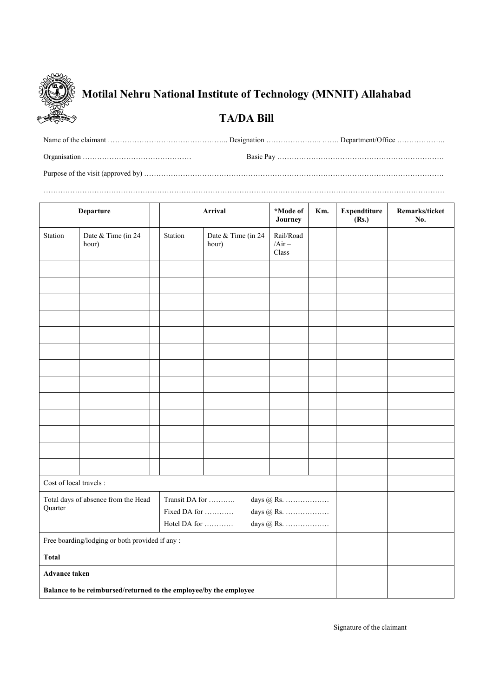

### **Motilal Nehru National Institute of Technology (MNNIT) Allahabad**

#### **TA/DA Bill**

………………………………………………………………………………………………………………………………………………….

| <b>Departure</b>                                                  |                             | <b>Arrival</b>               |                             | *Mode of<br>Journey            | Km. | <b>Expendtiture</b><br>(Rs.) | Remarks/ticket<br>No. |
|-------------------------------------------------------------------|-----------------------------|------------------------------|-----------------------------|--------------------------------|-----|------------------------------|-----------------------|
| Station                                                           | Date & Time (in 24<br>hour) | Station                      | Date & Time (in 24<br>hour) | Rail/Road<br>$/Air -$<br>Class |     |                              |                       |
|                                                                   |                             |                              |                             |                                |     |                              |                       |
|                                                                   |                             |                              |                             |                                |     |                              |                       |
|                                                                   |                             |                              |                             |                                |     |                              |                       |
|                                                                   |                             |                              |                             |                                |     |                              |                       |
|                                                                   |                             |                              |                             |                                |     |                              |                       |
|                                                                   |                             |                              |                             |                                |     |                              |                       |
|                                                                   |                             |                              |                             |                                |     |                              |                       |
|                                                                   |                             |                              |                             |                                |     |                              |                       |
|                                                                   |                             |                              |                             |                                |     |                              |                       |
|                                                                   |                             |                              |                             |                                |     |                              |                       |
|                                                                   |                             |                              |                             |                                |     |                              |                       |
|                                                                   |                             |                              |                             |                                |     |                              |                       |
|                                                                   |                             |                              |                             |                                |     |                              |                       |
| Cost of local travels :                                           |                             |                              |                             |                                |     |                              |                       |
| Total days of absence from the Head<br>Quarter                    |                             | Transit DA for<br>days @ Rs. |                             |                                |     |                              |                       |
|                                                                   |                             | Fixed DA for<br>days $@$ Rs. |                             |                                |     |                              |                       |
| Hotel DA for<br>days @ Rs.                                        |                             |                              |                             |                                |     |                              |                       |
| Free boarding/lodging or both provided if any:                    |                             |                              |                             |                                |     |                              |                       |
| <b>Total</b>                                                      |                             |                              |                             |                                |     |                              |                       |
| <b>Advance taken</b>                                              |                             |                              |                             |                                |     |                              |                       |
| Balance to be reimbursed/returned to the employee/by the employee |                             |                              |                             |                                |     |                              |                       |